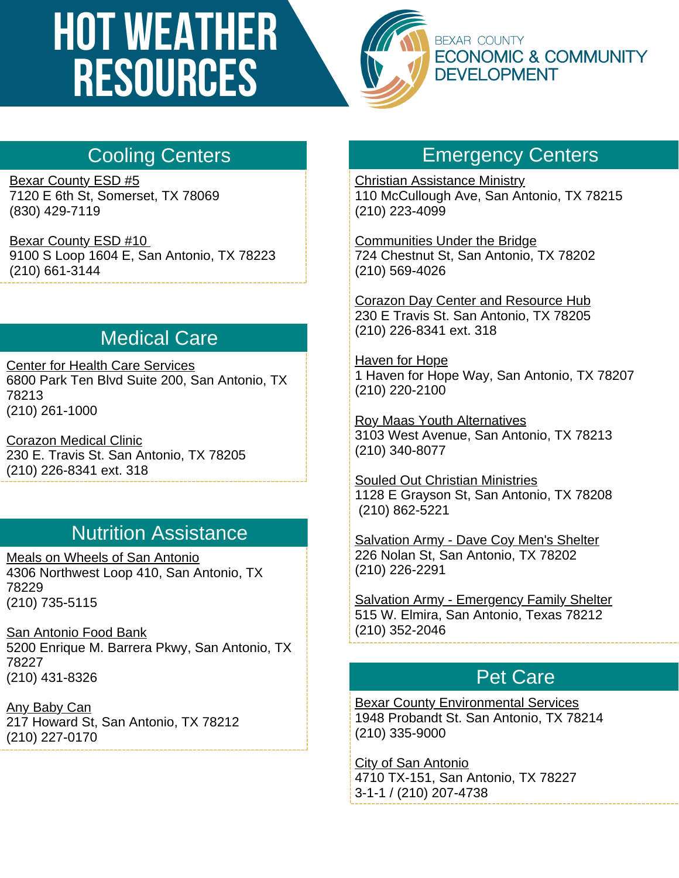# **HOT WEATHER RESOURCES**



## Cooling Centers

[Bexar County ESD #5](https://www.bexarcountyesd5.com/) 7120 E 6th St, Somerset, TX 78069 (830) 429-7119

[Bexar County ESD #10](http://www.bcesd10.org/) 9100 S Loop 1604 E, San Antonio, TX 78223 (210) 661-3144

## Medical Care

[Center for Health Care Services](https://chcsbc.org/) [6800 Park Ten Blvd Suite 200, San Antonio, TX](https://www.bexarcountyesd5.com/) 78213 [\(210\) 261-1000](https://www.bexarcountyesd5.com/)

[Corazon Medical Clinic](http://corazonsa.org/) [230 E. Travis St. San Antonio, TX 78205](https://www.bexarcountyesd5.com/) [\(210\) 226-8341 ext. 318](https://www.bexarcountyesd5.com/)

### Nutrition Assistance

[Meals on Wheels of San Antonio](https://www.mowsatx.org/) [4306 Northwest Loop 410, San Antonio, TX](https://www.bexarcountyesd5.com/) 78229 [\(210\) 735-5115](https://www.bexarcountyesd5.com/)

[San Antonio Food Bank](https://safoodbank.org/) [5200 Enrique M. Barrera Pkwy, San Antonio, TX](https://www.bexarcountyesd5.com/) 78227 [\(210\) 431-8326](https://www.bexarcountyesd5.com/)

[Any Baby Can](https://www.anybabycansa.org/) [217 Howard St, San Antonio, TX 78212](https://www.bexarcountyesd5.com/) [\(210\) 227-0170](https://www.bexarcountyesd5.com/)

#### Emergency Centers

[Christian Assistance Ministry](https://christianassistanceministry.org/) [110 McCullough Ave, San Antonio, TX 78215](https://www.bexarcountyesd5.com/) [\(210\) 223-4099](https://www.bexarcountyesd5.com/)

[Communities Under the Bridge](https://cub-sa.org/) [724 Chestnut St, San Antonio, TX 78202](https://www.bexarcountyesd5.com/) [\(210\) 569-4026](https://www.bexarcountyesd5.com/)

[Corazon Day Center and Resource Hub](http://corazonsa.org/) [230 E Travis St. San Antonio, TX 78205](https://www.bexarcountyesd5.com/) [\(210\) 226-8341 ext. 318](https://www.bexarcountyesd5.com/)

[Haven for Hope](https://www.havenforhope.org/) [1 Haven for Hope Way, San Antonio, TX 78207](https://www.bexarcountyesd5.com/) [\(210\) 220-2100](https://www.bexarcountyesd5.com/)

[Roy Maas Youth Alternatives](https://rmya.org/) [3103 West Avenue, San Antonio, TX 78213](https://www.bexarcountyesd5.com/) [\(210\) 340-8077](https://www.bexarcountyesd5.com/)

[Souled Out Christian Ministries](https://souledoutchristianministries.com/) [1128 E Grayson St, San Antonio, TX 78208](https://www.bexarcountyesd5.com/) [\(210\) 862-5221](https://www.bexarcountyesd5.com/)

[Salvation Army - Dave Coy Men's Shelter](https://salvationarmysanantonio.org/dave-coy-shelter-men/) [226 Nolan St, San Antonio, TX 78202](https://www.bexarcountyesd5.com/) [\(210\) 226-2291](https://www.bexarcountyesd5.com/)

[Salvation Army - Emergency Family Shelter](https://salvationarmysanantonio.org/emergency-family-shelter/) [515 W. Elmira, San Antonio, Texas 78212](https://www.bexarcountyesd5.com/) [\(210\) 352-2046](https://www.bexarcountyesd5.com/)

#### Pet Care

**[Bexar County Environmental Services](https://www.bexar.org/3213/Environmental-Services)** [1948 Probandt St. San Antonio, TX 78214](https://www.bexarcountyesd5.com/) [\(210\) 335-9000](https://www.bexarcountyesd5.com/)

[City of San Antonio](https://www.sanantonio.gov/Animal-Care/Home) [4710 TX-151, San Antonio, TX 78227](https://www.bexarcountyesd5.com/) [3-1-1 / \(210\) 207-4738](https://www.bexarcountyesd5.com/)